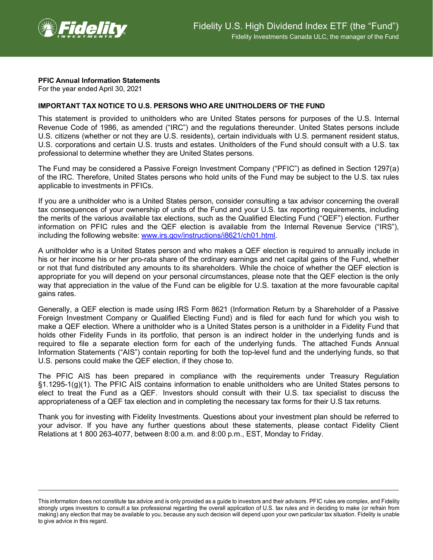

## **PFIC Annual Information Statements**

For the year ended April 30, 2021

## **IMPORTANT TAX NOTICE TO U.S. PERSONS WHO ARE UNITHOLDERS OF THE FUND**

This statement is provided to unitholders who are United States persons for purposes of the U.S. Internal Revenue Code of 1986, as amended ("IRC") and the regulations thereunder. United States persons include U.S. citizens (whether or not they are U.S. residents), certain individuals with U.S. permanent resident status, U.S. corporations and certain U.S. trusts and estates. Unitholders of the Fund should consult with a U.S. tax professional to determine whether they are United States persons.

The Fund may be considered a Passive Foreign Investment Company ("PFIC") as defined in Section 1297(a) of the IRC. Therefore, United States persons who hold units of the Fund may be subject to the U.S. tax rules applicable to investments in PFICs.

If you are a unitholder who is a United States person, consider consulting a tax advisor concerning the overall tax consequences of your ownership of units of the Fund and your U.S. tax reporting requirements, including the merits of the various available tax elections, such as the Qualified Electing Fund ("QEF") election. Further information on PFIC rules and the QEF election is available from the Internal Revenue Service ("IRS"), including the following website: [www.irs.gov/instructions/i8621/ch01.html.](http://www.irs.gov/instructions/i8621/ch01.html)

A unitholder who is a United States person and who makes a QEF election is required to annually include in his or her income his or her pro-rata share of the ordinary earnings and net capital gains of the Fund, whether or not that fund distributed any amounts to its shareholders. While the choice of whether the QEF election is appropriate for you will depend on your personal circumstances, please note that the QEF election is the only way that appreciation in the value of the Fund can be eligible for U.S. taxation at the more favourable capital gains rates.

Generally, a QEF election is made using IRS Form 8621 (Information Return by a Shareholder of a Passive Foreign Investment Company or Qualified Electing Fund) and is filed for each fund for which you wish to make a QEF election. Where a unitholder who is a United States person is a unitholder in a Fidelity Fund that holds other Fidelity Funds in its portfolio, that person is an indirect holder in the underlying funds and is required to file a separate election form for each of the underlying funds. The attached Funds Annual Information Statements ("AIS") contain reporting for both the top-level fund and the underlying funds, so that U.S. persons could make the QEF election, if they chose to.

The PFIC AIS has been prepared in compliance with the requirements under Treasury Regulation §1.1295-1(g)(1). The PFIC AIS contains information to enable unitholders who are United States persons to elect to treat the Fund as a QEF. Investors should consult with their U.S. tax specialist to discuss the appropriateness of a QEF tax election and in completing the necessary tax forms for their U.S tax returns.

Thank you for investing with Fidelity Investments. Questions about your investment plan should be referred to your advisor. If you have any further questions about these statements, please contact Fidelity Client Relations at 1 800 263-4077, between 8:00 a.m. and 8:00 p.m., EST, Monday to Friday.

This information does not constitute tax advice and is only provided as a guide to investors and their advisors. PFIC rules are complex, and Fidelity strongly urges investors to consult a tax professional regarding the overall application of U.S. tax rules and in deciding to make (or refrain from making) any election that may be available to you, because any such decision will depend upon your own particular tax situation. Fidelity is unable to give advice in this regard.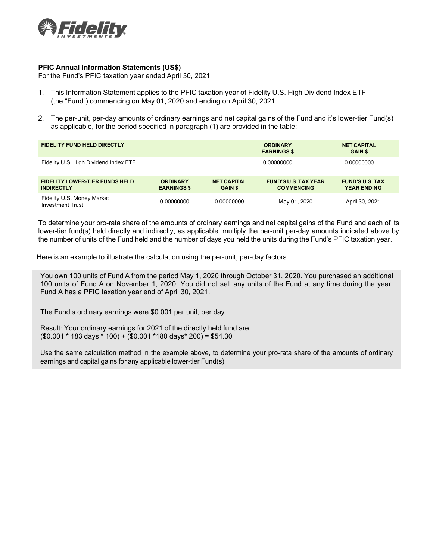

## **PFIC Annual Information Statements (US\$)**

For the Fund's PFIC taxation year ended April 30, 2021

- 1. This Information Statement applies to the PFIC taxation year of Fidelity U.S. High Dividend Index ETF (the "Fund") commencing on May 01, 2020 and ending on April 30, 2021.
- 2. The per-unit, per-day amounts of ordinary earnings and net capital gains of the Fund and it's lower-tier Fund(s) as applicable, for the period specified in paragraph (1) are provided in the table:

| <b>FIDELITY FUND HELD DIRECTLY</b>                         |                                       |                                      | <b>ORDINARY</b><br><b>EARNINGS \$</b>            | <b>NET CAPITAL</b><br><b>GAIN \$</b>         |  |
|------------------------------------------------------------|---------------------------------------|--------------------------------------|--------------------------------------------------|----------------------------------------------|--|
| Fidelity U.S. High Dividend Index ETF                      |                                       |                                      | 0.00000000                                       | 0.00000000                                   |  |
| <b>FIDELITY LOWER-TIER FUNDS HELD</b><br><b>INDIRECTLY</b> | <b>ORDINARY</b><br><b>EARNINGS \$</b> | <b>NET CAPITAL</b><br><b>GAIN \$</b> | <b>FUND'S U.S. TAX YEAR</b><br><b>COMMENCING</b> | <b>FUND'S U.S. TAX</b><br><b>YEAR ENDING</b> |  |
| Fidelity U.S. Money Market<br><b>Investment Trust</b>      | 0.00000000                            | 0.00000000                           | May 01, 2020                                     | April 30, 2021                               |  |

To determine your pro-rata share of the amounts of ordinary earnings and net capital gains of the Fund and each of its lower-tier fund(s) held directly and indirectly, as applicable, multiply the per-unit per-day amounts indicated above by the number of units of the Fund held and the number of days you held the units during the Fund's PFIC taxation year.

Here is an example to illustrate the calculation using the per-unit, per-day factors.

You own 100 units of Fund A from the period May 1, 2020 through October 31, 2020. You purchased an additional 100 units of Fund A on November 1, 2020. You did not sell any units of the Fund at any time during the year. Fund A has a PFIC taxation year end of April 30, 2021.

The Fund's ordinary earnings were \$0.001 per unit, per day.

Result: Your ordinary earnings for 2021 of the directly held fund are  $($0.001 * 183 \text{ days} * 100) + ($0.001 * 180 \text{ days} * 200) = $54.30$ 

Use the same calculation method in the example above, to determine your pro-rata share of the amounts of ordinary earnings and capital gains for any applicable lower-tier Fund(s).